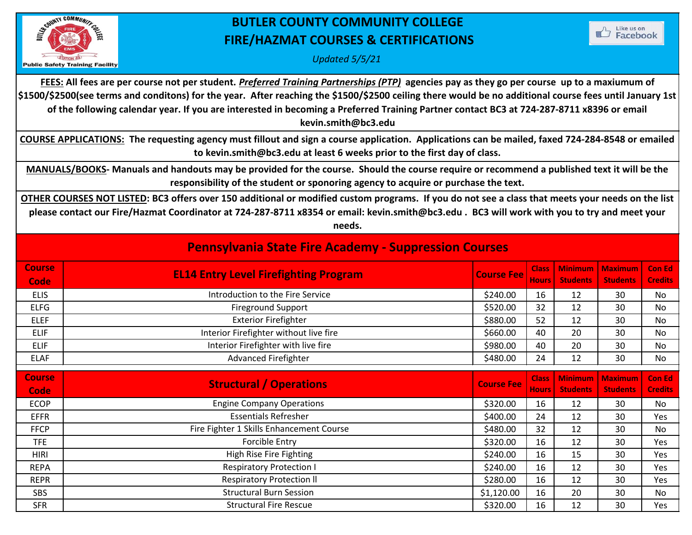

## **BUTLER COUNTY COMMUNITY COLLEGE FIRE/HAZMAT COURSES & CERTIFICATIONS**



*Updated 5/5/21*

**FEES: All fees are per course not per student.** *Preferred Training Partnerships (PTP)* **agencies pay as they go per course up to a maxiumum of \$1500/\$2500(see terms and conditons) for the year. After reaching the \$1500/\$2500 ceiling there would be no additional course fees until January 1st of the following calendar year. If you are interested in becoming a Preferred Training Partner contact BC3 at 724-287-8711 x8396 or email kevin.smith@bc3.edu** 

**COURSE APPLICATIONS: The requesting agency must fillout and sign a course application. Applications can be mailed, faxed 724-284-8548 or emailed to kevin.smith@bc3.edu at least 6 weeks prior to the first day of class.** 

**MANUALS/BOOKS- Manuals and handouts may be provided for the course. Should the course require or recommend a published text it will be the responsibility of the student or sponoring agency to acquire or purchase the text.** 

**OTHER COURSES NOT LISTED: BC3 offers over 150 additional or modified custom programs. If you do not see a class that meets your needs on the list please contact our Fire/Hazmat Coordinator at 724-287-8711 x8354 or email: kevin.smith@bc3.edu . BC3 will work with you to try and meet your needs.** 

| <b>Pennsylvania State Fire Academy - Suppression Courses</b> |  |
|--------------------------------------------------------------|--|
|--------------------------------------------------------------|--|

| <b>Course</b><br><b>Code</b> | <b>EL14 Entry Level Firefighting Program</b> | <b>Course Fee</b> |    |    | Class   Minimum   Maximum   Con Ed<br>Hours Students Students Credits |    |
|------------------------------|----------------------------------------------|-------------------|----|----|-----------------------------------------------------------------------|----|
| <b>ELIS</b>                  | Introduction to the Fire Service             | \$240.00          | 16 | 12 | 30                                                                    | No |
| <b>ELFG</b>                  | <b>Fireground Support</b>                    | \$520.00          | 32 | 12 | 30                                                                    | No |
| <b>ELEF</b>                  | <b>Exterior Firefighter</b>                  | \$880.00          | 52 | 12 | 30                                                                    | No |
| <b>ELIF</b>                  | Interior Firefighter without live fire       | \$660.00          | 40 | 20 | 30                                                                    | No |
| <b>ELIF</b>                  | Interior Firefighter with live fire          | \$980.00          | 40 | 20 | 30                                                                    | No |
| <b>ELAF</b>                  | <b>Advanced Firefighter</b>                  | \$480.00          | 24 | 12 | 30                                                                    | No |
|                              |                                              |                   |    |    |                                                                       |    |

| <b>Course</b><br>Code | <b>Structural / Operations</b>           | <b>Course Fee</b> |    |    | Class   Minimum   Maximum   Con Ed<br>Hours Students Students Credits |     |
|-----------------------|------------------------------------------|-------------------|----|----|-----------------------------------------------------------------------|-----|
| <b>ECOP</b>           | <b>Engine Company Operations</b>         | \$320.00          | 16 | 12 | 30                                                                    | No  |
| <b>EFFR</b>           | <b>Essentials Refresher</b>              | \$400.00          | 24 | 12 | 30                                                                    | Yes |
| <b>FFCP</b>           | Fire Fighter 1 Skills Enhancement Course | \$480.00          | 32 | 12 | 30                                                                    | No  |
| <b>TFE</b>            | Forcible Entry                           | \$320.00          | 16 | 12 | 30                                                                    | Yes |
| <b>HIRI</b>           | High Rise Fire Fighting                  | \$240.00          | 16 | 15 | 30                                                                    | Yes |
| <b>REPA</b>           | <b>Respiratory Protection I</b>          | \$240.00          | 16 | 12 | 30                                                                    | Yes |
| <b>REPR</b>           | <b>Respiratory Protection II</b>         | \$280.00          | 16 | 12 | 30                                                                    | Yes |
| <b>SBS</b>            | <b>Structural Burn Session</b>           | \$1,120.00        | 16 | 20 | 30                                                                    | No  |
| <b>SFR</b>            | <b>Structural Fire Rescue</b>            | \$320.00          | 16 | 12 | 30                                                                    | Yes |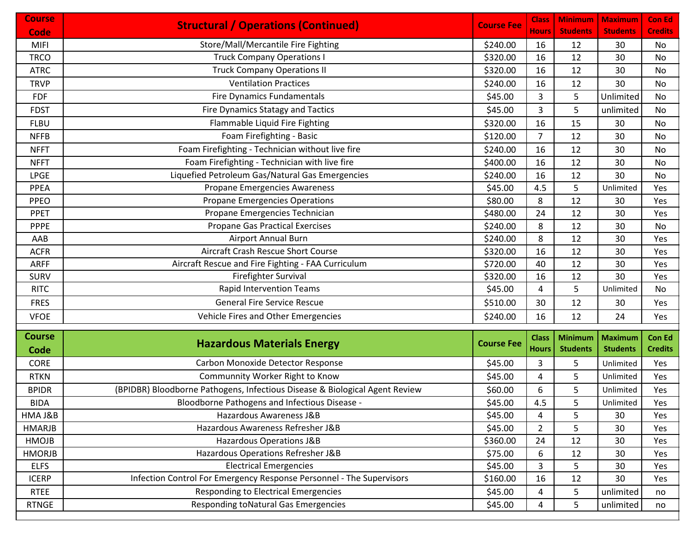| <b>Course</b> | <b>Structural / Operations (Continued)</b>                                  | <b>Course Fee</b> | <b>Class</b>   | <b>Minimum</b>  | <b>Maximum</b>  | <b>Con Ed</b>  |
|---------------|-----------------------------------------------------------------------------|-------------------|----------------|-----------------|-----------------|----------------|
| Code          |                                                                             |                   | Hours l        | <b>Students</b> | <b>Students</b> | <b>Credits</b> |
| <b>MIFI</b>   | Store/Mall/Mercantile Fire Fighting                                         | \$240.00          | 16             | 12              | 30              | No             |
| <b>TRCO</b>   | <b>Truck Company Operations I</b>                                           | \$320.00          | 16             | 12              | 30              | No             |
| <b>ATRC</b>   | <b>Truck Company Operations II</b>                                          | \$320.00          | 16             | 12              | 30              | No             |
| <b>TRVP</b>   | <b>Ventilation Practices</b>                                                | \$240.00          | 16             | 12              | 30              | No             |
| <b>FDF</b>    | <b>Fire Dynamics Fundamentals</b>                                           | \$45.00           | 3              | 5               | Unlimited       | No             |
| <b>FDST</b>   | Fire Dynamics Statagy and Tactics                                           | \$45.00           | 3              | 5               | unlimited       | No             |
| <b>FLBU</b>   | Flammable Liquid Fire Fighting                                              | \$320.00          | 16             | 15              | 30              | No             |
| <b>NFFB</b>   | Foam Firefighting - Basic                                                   | \$120.00          | $\overline{7}$ | 12              | 30              | No             |
| <b>NFFT</b>   | Foam Firefighting - Technician without live fire                            | \$240.00          | 16             | 12              | 30              | No             |
| <b>NFFT</b>   | Foam Firefighting - Technician with live fire                               | \$400.00          | 16             | 12              | 30              | No             |
| <b>LPGE</b>   | Liquefied Petroleum Gas/Natural Gas Emergencies                             | \$240.00          | 16             | 12              | 30              | No             |
| PPEA          | Propane Emergencies Awareness                                               | \$45.00           | 4.5            | 5               | Unlimited       | Yes            |
| <b>PPEO</b>   | <b>Propane Emergencies Operations</b>                                       | \$80.00           | 8              | 12              | 30              | Yes            |
| PPET          | Propane Emergencies Technician                                              | \$480.00          | 24             | 12              | 30              | Yes            |
| <b>PPPE</b>   | <b>Propane Gas Practical Exercises</b>                                      | \$240.00          | 8              | 12              | 30              | No             |
| AAB           | <b>Airport Annual Burn</b>                                                  | \$240.00          | 8              | 12              | 30              | Yes            |
| <b>ACFR</b>   | Aircraft Crash Rescue Short Course                                          | \$320.00          | 16             | 12              | 30              | Yes            |
| <b>ARFF</b>   | Aircraft Rescue and Fire Fighting - FAA Curriculum                          | \$720.00          | 40             | 12              | 30              | Yes            |
| <b>SURV</b>   | Firefighter Survival                                                        | \$320.00          | 16             | 12              | 30              | Yes            |
| <b>RITC</b>   | <b>Rapid Intervention Teams</b>                                             | \$45.00           | 4              | 5               | Unlimited       | No             |
| <b>FRES</b>   | <b>General Fire Service Rescue</b>                                          | \$510.00          | 30             | 12              | 30              | Yes            |
| <b>VFOE</b>   | Vehicle Fires and Other Emergencies                                         | \$240.00          | 16             | 12              | 24              | Yes            |
| <b>Course</b> |                                                                             |                   | <b>Class</b>   | <b>Minimum</b>  | <b>Maximum</b>  | <b>Con Ed</b>  |
| Code          | <b>Hazardous Materials Energy</b>                                           | <b>Course Fee</b> | <b>Hours</b>   | <b>Students</b> | <b>Students</b> | <b>Credits</b> |
| <b>CORE</b>   | Carbon Monoxide Detector Response                                           | \$45.00           | 3              | 5               | Unlimited       | Yes            |
| <b>RTKN</b>   | Communnity Worker Right to Know                                             | \$45.00           | 4              | 5               | Unlimited       | Yes            |
| <b>BPIDR</b>  | (BPIDBR) Bloodborne Pathogens, Infectious Disease & Biological Agent Review | \$60.00           | 6              | 5               | Unlimited       | Yes            |
| <b>BIDA</b>   | Bloodborne Pathogens and Infectious Disease -                               | \$45.00           | 4.5            | 5               | Unlimited       | Yes            |
| HMA J&B       | Hazardous Awareness J&B                                                     | \$45.00           | 4              | 5               | 30              | Yes            |
| <b>HMARJB</b> | Hazardous Awareness Refresher J&B                                           | \$45.00           | $\overline{2}$ | 5               | 30              | Yes            |
| HMOJB         | Hazardous Operations J&B                                                    | \$360.00          | 24             | 12              | 30              | Yes            |
| <b>HMORJB</b> | Hazardous Operations Refresher J&B                                          | \$75.00           | 6              | 12              | 30              | Yes            |
| <b>ELFS</b>   | <b>Electrical Emergencies</b>                                               | \$45.00           | 3              | 5               | 30              | Yes            |
| <b>ICERP</b>  | Infection Control For Emergency Response Personnel - The Supervisors        | \$160.00          | 16             | 12              | 30              | Yes            |
| <b>RTEE</b>   | Responding to Electrical Emergencies                                        | \$45.00           | 4              | 5               | unlimited       | no             |
| <b>RTNGE</b>  | <b>Responding toNatural Gas Emergencies</b>                                 | \$45.00           | 4              | 5               | unlimited       | no             |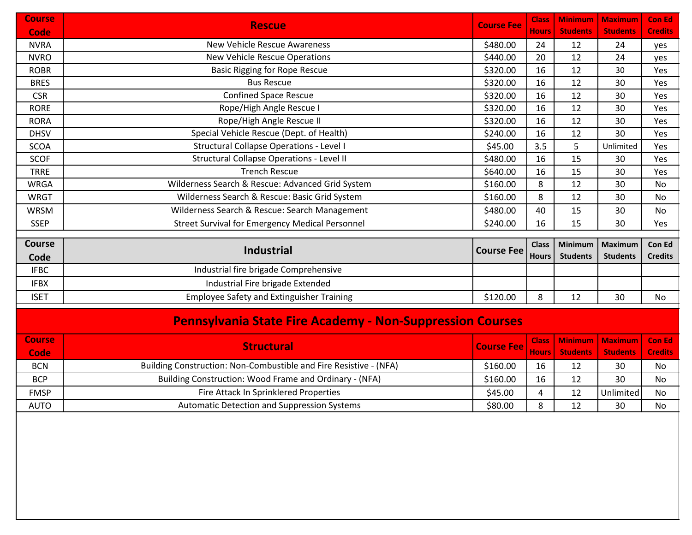| <b>Course</b> | <b>Rescue</b>                                                     | <b>Course Fee</b> | <b>Class</b> | <b>Minimum</b>  | <b>Maximum</b>  | <b>Con Ed</b>  |
|---------------|-------------------------------------------------------------------|-------------------|--------------|-----------------|-----------------|----------------|
| Code          |                                                                   |                   | Hours        | <b>Students</b> | <b>Students</b> | <b>Credits</b> |
| <b>NVRA</b>   | New Vehicle Rescue Awareness                                      | \$480.00          | 24           | 12              | 24              | yes            |
| <b>NVRO</b>   | New Vehicle Rescue Operations                                     | \$440.00          | 20           | 12              | 24              | yes            |
| <b>ROBR</b>   | <b>Basic Rigging for Rope Rescue</b>                              | \$320.00          | 16           | 12              | 30              | Yes            |
| <b>BRES</b>   | <b>Bus Rescue</b>                                                 | \$320.00          | 16           | 12              | 30              | Yes            |
| <b>CSR</b>    | <b>Confined Space Rescue</b>                                      | \$320.00          | 16           | 12              | 30              | Yes            |
| <b>RORE</b>   | Rope/High Angle Rescue I                                          | \$320.00          | 16           | 12              | 30              | Yes            |
| <b>RORA</b>   | Rope/High Angle Rescue II                                         | \$320.00          | 16           | 12              | 30              | Yes            |
| <b>DHSV</b>   | Special Vehicle Rescue (Dept. of Health)                          | \$240.00          | 16           | 12              | 30              | Yes            |
| SCOA          | <b>Structural Collapse Operations - Level I</b>                   | \$45.00           | 3.5          | 5               | Unlimited       | Yes            |
| <b>SCOF</b>   | Structural Collapse Operations - Level II                         | \$480.00          | 16           | 15              | 30              | Yes            |
| <b>TRRE</b>   | <b>Trench Rescue</b>                                              | \$640.00          | 16           | 15              | 30              | Yes            |
| <b>WRGA</b>   | Wilderness Search & Rescue: Advanced Grid System                  | \$160.00          | 8            | 12              | 30              | No             |
| <b>WRGT</b>   | Wilderness Search & Rescue: Basic Grid System                     | \$160.00          | 8            | 12              | 30              | No             |
| <b>WRSM</b>   | Wilderness Search & Rescue: Search Management                     | \$480.00          | 40           | 15              | 30              | No             |
| <b>SSEP</b>   | <b>Street Survival for Emergency Medical Personnel</b>            | \$240.00          | 16           | 15              | 30              | Yes            |
|               |                                                                   |                   |              |                 |                 |                |
| Course        | Industrial                                                        | <b>Course Fee</b> | <b>Class</b> | <b>Minimum</b>  | <b>Maximum</b>  | Con Ed         |
| Code          |                                                                   |                   | <b>Hours</b> | <b>Students</b> | <b>Students</b> | <b>Credits</b> |
| <b>IFBC</b>   | Industrial fire brigade Comprehensive                             |                   |              |                 |                 |                |
| <b>IFBX</b>   | Industrial Fire brigade Extended                                  |                   |              |                 |                 |                |
| <b>ISET</b>   | <b>Employee Safety and Extinguisher Training</b>                  | \$120.00          | 8            | 12              | 30              | No             |
|               | <b>Pennsylvania State Fire Academy - Non-Suppression Courses</b>  |                   |              |                 |                 |                |
|               |                                                                   |                   |              |                 |                 |                |
| <b>Course</b> | <b>Structural</b>                                                 | <b>Course Fee</b> | <b>Class</b> | <b>Minimum</b>  | <b>Maximum</b>  | <b>Con Ed</b>  |
| Code          |                                                                   |                   | <b>Hours</b> | <b>Students</b> | <b>Students</b> | <b>Credits</b> |
| <b>BCN</b>    | Building Construction: Non-Combustible and Fire Resistive - (NFA) | \$160.00          | 16           | 12              | 30              | No             |
| <b>BCP</b>    | Building Construction: Wood Frame and Ordinary - (NFA)            | \$160.00          | 16           | 12              | 30              | No             |
| <b>FMSP</b>   |                                                                   |                   | 4            | 12              | Unlimited       | No             |
|               | Fire Attack In Sprinklered Properties                             | \$45.00           |              |                 |                 |                |
| <b>AUTO</b>   |                                                                   |                   |              | $$80.00$ 8 12   | 30              | No             |
|               | Automatic Detection and Suppression Systems                       |                   |              |                 |                 |                |
|               |                                                                   |                   |              |                 |                 |                |
|               |                                                                   |                   |              |                 |                 |                |
|               |                                                                   |                   |              |                 |                 |                |
|               |                                                                   |                   |              |                 |                 |                |
|               |                                                                   |                   |              |                 |                 |                |
|               |                                                                   |                   |              |                 |                 |                |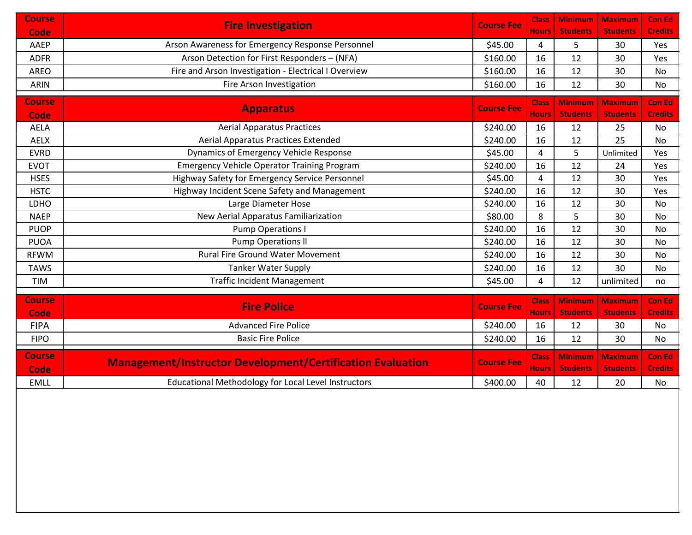| <b>Course</b> |                                                                   | <b>Course Fee</b> | <b>Class</b>                 | <b>Minimum</b>                    | <b>Maximum</b>                    | <b>Con Ed</b>                   |
|---------------|-------------------------------------------------------------------|-------------------|------------------------------|-----------------------------------|-----------------------------------|---------------------------------|
| <b>Code</b>   | <b>Fire Investigation</b>                                         |                   | <b>Hours</b>                 | <b>Students</b>                   | <b>Students</b>                   | <b>Credits</b>                  |
| AAEP          | Arson Awareness for Emergency Response Personnel                  | \$45.00           | 4                            | 5                                 | 30                                | Yes                             |
| <b>ADFR</b>   | Arson Detection for First Responders - (NFA)                      | \$160.00          | 16                           | 12                                | 30                                | Yes                             |
| <b>AREO</b>   | Fire and Arson Investigation - Electrical I Overview              | \$160.00          | 16                           | 12                                | 30                                | No                              |
| <b>ARIN</b>   | Fire Arson Investigation                                          | \$160.00          | 16                           | 12                                | 30                                | No                              |
| <b>Course</b> |                                                                   |                   | <b>Class</b>                 | <b>Minimum</b>                    | <b>Maximum</b>                    | <b>Con Ed</b>                   |
| Code          | <b>Apparatus</b>                                                  | <b>Course Fee</b> | <b>Hours</b>                 | <b>Students</b>                   | <b>Students</b>                   | <b>Credits</b>                  |
| <b>AELA</b>   | <b>Aerial Apparatus Practices</b>                                 | \$240.00          | 16                           | 12                                | 25                                | No                              |
| <b>AELX</b>   | <b>Aerial Apparatus Practices Extended</b>                        | \$240.00          | 16                           | 12                                | 25                                | No                              |
| <b>EVRD</b>   | Dynamics of Emergency Vehicle Response                            | \$45.00           | 4                            | 5                                 | Unlimited                         | Yes                             |
| <b>EVOT</b>   | <b>Emergency Vehicle Operator Training Program</b>                | \$240.00          | 16                           | 12                                | 24                                | Yes                             |
| <b>HSES</b>   | Highway Safety for Emergency Service Personnel                    | \$45.00           | 4                            | 12                                | 30                                | Yes                             |
| <b>HSTC</b>   | Highway Incident Scene Safety and Management                      | \$240.00          | 16                           | 12                                | 30                                | Yes                             |
| LDHO          | Large Diameter Hose                                               | \$240.00          | 16                           | 12                                | 30                                | No                              |
| <b>NAEP</b>   | New Aerial Apparatus Familiarization                              | \$80.00           | 8                            | 5                                 | 30                                | No                              |
| <b>PUOP</b>   | <b>Pump Operations I</b>                                          | \$240.00          | 16                           | 12                                | 30                                | No                              |
| <b>PUOA</b>   | <b>Pump Operations II</b>                                         | \$240.00          | 16                           | 12                                | 30                                | No                              |
| <b>RFWM</b>   | <b>Rural Fire Ground Water Movement</b>                           | \$240.00          | 16                           | 12                                | 30                                | No                              |
| <b>TAWS</b>   | <b>Tanker Water Supply</b>                                        | \$240.00          | 16                           | 12                                | 30                                | No                              |
| <b>TIM</b>    | <b>Traffic Incident Management</b>                                | \$45.00           | 4                            | 12                                | unlimited                         | no                              |
| <b>Course</b> |                                                                   |                   |                              |                                   |                                   |                                 |
| Code          | <b>Fire Police</b>                                                | <b>Course Fee</b> | <b>Class</b><br><b>Hours</b> | <b>Minimum</b><br><b>Students</b> | <b>Maximum</b><br><b>Students</b> | <b>Con Ed</b><br><b>Credits</b> |
| <b>FIPA</b>   | <b>Advanced Fire Police</b>                                       | \$240.00          | 16                           | 12                                | 30                                | No                              |
| <b>FIPO</b>   | <b>Basic Fire Police</b>                                          | \$240.00          | 16                           | 12                                | 30                                | No                              |
|               |                                                                   |                   |                              |                                   |                                   |                                 |
| <b>Course</b> | <b>Management/Instructor Development/Certification Evaluation</b> | <b>Course Fee</b> | <b>Class</b>                 | <b>Minimum</b>                    | <b>Maximum</b>                    | <b>Con Ed</b>                   |
| Code          |                                                                   |                   | <b>Hours</b>                 | <b>Students</b>                   | <b>Students</b>                   | <b>Credits</b>                  |
| <b>EMLL</b>   | <b>Educational Methodology for Local Level Instructors</b>        | \$400.00          | 40                           | 12                                | 20                                | No                              |
|               |                                                                   |                   |                              |                                   |                                   |                                 |
|               |                                                                   |                   |                              |                                   |                                   |                                 |
|               |                                                                   |                   |                              |                                   |                                   |                                 |
|               |                                                                   |                   |                              |                                   |                                   |                                 |
|               |                                                                   |                   |                              |                                   |                                   |                                 |
|               |                                                                   |                   |                              |                                   |                                   |                                 |
|               |                                                                   |                   |                              |                                   |                                   |                                 |
|               |                                                                   |                   |                              |                                   |                                   |                                 |
|               |                                                                   |                   |                              |                                   |                                   |                                 |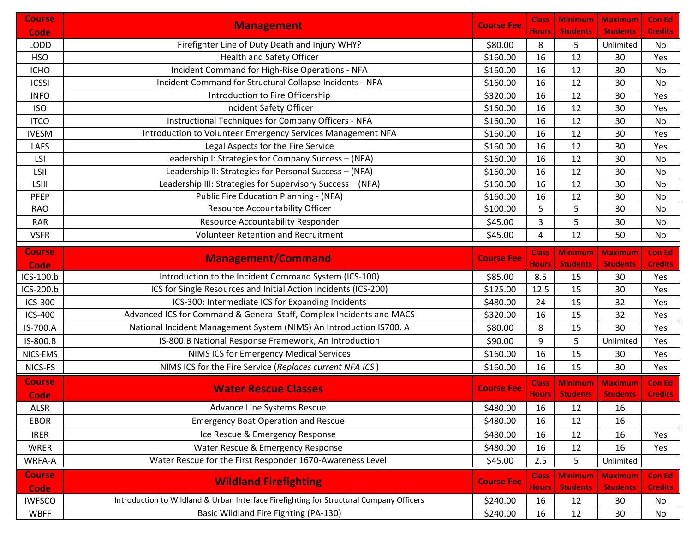| <b>Course</b> | <b>Management</b>                                                                       | <b>Course Fee</b> | <b>Class</b> | <b>Minimum</b>  | <b>Maximum</b>  | <b>Con Ed</b>  |
|---------------|-----------------------------------------------------------------------------------------|-------------------|--------------|-----------------|-----------------|----------------|
| Code          |                                                                                         |                   | <b>Hours</b> | <b>Students</b> | <b>Students</b> | <b>Credits</b> |
| <b>LODD</b>   | Firefighter Line of Duty Death and Injury WHY?                                          | \$80.00           | 8            | 5               | Unlimited       | No             |
| <b>HSO</b>    | <b>Health and Safety Officer</b>                                                        | \$160.00          | 16           | 12              | 30              | Yes            |
| <b>ICHO</b>   | Incident Command for High-Rise Operations - NFA                                         | \$160.00          | 16           | 12              | 30              | No             |
| <b>ICSSI</b>  | Incident Command for Structural Collapse Incidents - NFA                                | \$160.00          | 16           | 12              | 30              | No             |
| <b>INFO</b>   | Introduction to Fire Officership                                                        | \$320.00          | 16           | 12              | 30              | Yes            |
| <b>ISO</b>    | Incident Safety Officer                                                                 | \$160.00          | 16           | 12              | 30              | Yes            |
| <b>ITCO</b>   | Instructional Techniques for Company Officers - NFA                                     | \$160.00          | 16           | 12              | 30              | No             |
| <b>IVESM</b>  | Introduction to Volunteer Emergency Services Management NFA                             | \$160.00          | 16           | 12              | 30              | Yes            |
| <b>LAFS</b>   | Legal Aspects for the Fire Service                                                      | \$160.00          | 16           | 12              | 30              | Yes            |
| LSI           | Leadership I: Strategies for Company Success - (NFA)                                    | \$160.00          | 16           | 12              | 30              | No             |
| LSII          | Leadership II: Strategies for Personal Success - (NFA)                                  | \$160.00          | 16           | 12              | 30              | No             |
| LSIII         | Leadership III: Strategies for Supervisory Success - (NFA)                              | \$160.00          | 16           | 12              | 30              | No             |
| PFEP          | <b>Public Fire Education Planning - (NFA)</b>                                           | \$160.00          | 16           | 12              | 30              | No             |
| <b>RAO</b>    | Resource Accountability Officer                                                         | \$100.00          | 5            | 5               | 30              | No             |
| <b>RAR</b>    | Resource Accountability Responder                                                       | \$45.00           | 3            | 5               | 30              | No             |
| <b>VSFR</b>   | <b>Volunteer Retention and Recruitment</b>                                              | \$45.00           | 4            | 12              | 50              | No             |
| <b>Course</b> |                                                                                         |                   | <b>Class</b> | <b>Minimum</b>  | <b>Maximum</b>  | <b>Con Ed</b>  |
| Code          | <b>Management/Command</b>                                                               | <b>Course Fee</b> | <b>Hours</b> | <b>Students</b> | <b>Students</b> | <b>Credits</b> |
| ICS-100.b     | Introduction to the Incident Command System (ICS-100)                                   | \$85.00           | 8.5          | 15              | 30              | Yes            |
| ICS-200.b     | ICS for Single Resources and Initial Action incidents (ICS-200)                         | \$125.00          | 12.5         | 15              | 30              | Yes            |
| ICS-300       | ICS-300: Intermediate ICS for Expanding Incidents                                       | \$480.00          | 24           | 15              | 32              | Yes            |
| ICS-400       | Advanced ICS for Command & General Staff, Complex Incidents and MACS                    | \$320.00          | 16           | 15              | 32              | Yes            |
| IS-700.A      | National Incident Management System (NIMS) An Introduction IS700. A                     | \$80.00           | 8            | 15              | 30              | Yes            |
| IS-800.B      | IS-800.B National Response Framework, An Introduction                                   | \$90.00           | 9            | 5               | Unlimited       | Yes            |
| NICS-EMS      | NIMS ICS for Emergency Medical Services                                                 | \$160.00          | 16           | 15              | 30              | Yes            |
| NICS-FS       | NIMS ICS for the Fire Service (Replaces current NFA ICS)                                | \$160.00          | 16           | 15              | 30              | Yes            |
| <b>Course</b> |                                                                                         |                   | <b>Class</b> | <b>Minimum</b>  | <b>Maximum</b>  | <b>Con Ed</b>  |
| Code          | <b>Water Rescue Classes</b>                                                             | <b>Course Fee</b> | <b>Hours</b> | <b>Students</b> | <b>Students</b> | <b>Credits</b> |
| <b>ALSR</b>   | Advance Line Systems Rescue                                                             | \$480.00          | 16           | 12              | 16              |                |
| <b>EBOR</b>   | <b>Emergency Boat Operation and Rescue</b>                                              | \$480.00          | 16           | 12              | 16              |                |
| <b>IRER</b>   | Ice Rescue & Emergency Response                                                         | \$480.00          | 16           | 12              | 16              | Yes            |
| <b>WRER</b>   | Water Rescue & Emergency Response                                                       | \$480.00          | 16           | 12              | 16              | Yes            |
| WRFA-A        | Water Rescue for the First Responder 1670-Awareness Level                               | \$45.00           | 2.5          | 5               | Unlimited       |                |
|               |                                                                                         |                   |              |                 |                 |                |
| <b>Course</b> | <b>Wildland Firefighting</b>                                                            | <b>Course Fee</b> | <b>Class</b> | <b>Minimum</b>  | <b>Maximum</b>  | <b>Con Ed</b>  |
| Code          |                                                                                         |                   | <b>Hours</b> | <b>Students</b> | <b>Students</b> | <b>Credits</b> |
| <b>IWFSCO</b> | Introduction to Wildland & Urban Interface Firefighting for Structural Company Officers | \$240.00          | 16           | 12              | 30              | No             |
| <b>WBFF</b>   | Basic Wildland Fire Fighting (PA-130)                                                   | \$240.00          | 16           | 12              | 30              | No             |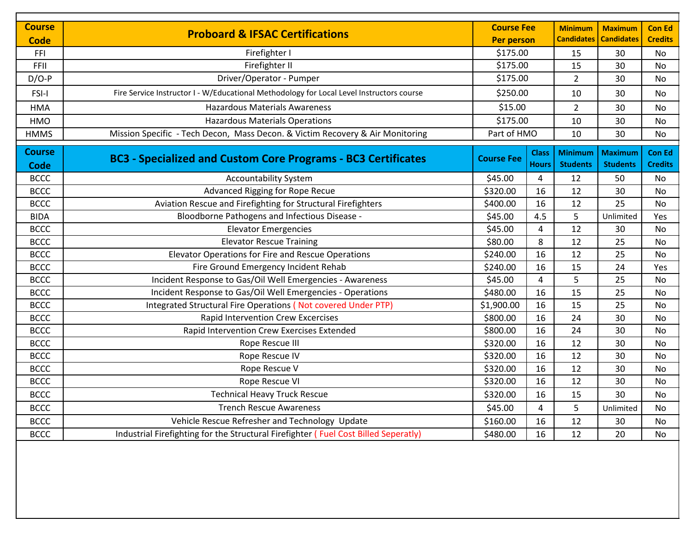| <b>Course</b>                |                                                                                          | <b>Course Fee</b> |                              | <b>Minimum</b>                    | <b>Maximum</b>                    | <b>Con Ed</b>                   |
|------------------------------|------------------------------------------------------------------------------------------|-------------------|------------------------------|-----------------------------------|-----------------------------------|---------------------------------|
| <b>Code</b>                  | <b>Proboard &amp; IFSAC Certifications</b>                                               | <b>Per person</b> |                              | <b>Candidates</b>                 | <b>Candidates</b>                 | <b>Credits</b>                  |
| FFI                          | Firefighter I                                                                            | \$175.00          |                              | 15                                | 30                                | No                              |
| FFII                         | Firefighter II                                                                           | \$175.00          |                              | 15                                | 30                                | <b>No</b>                       |
| $D/O-P$                      | Driver/Operator - Pumper                                                                 | \$175.00          |                              | $\overline{2}$                    | 30                                | <b>No</b>                       |
| FSI-I                        | Fire Service Instructor I - W/Educational Methodology for Local Level Instructors course | \$250.00          |                              | 10                                | 30                                | No                              |
| <b>HMA</b>                   | <b>Hazardous Materials Awareness</b>                                                     | \$15.00           |                              | $\overline{2}$                    | 30                                | <b>No</b>                       |
| <b>HMO</b>                   | <b>Hazardous Materials Operations</b>                                                    | \$175.00          |                              | 10                                | 30                                | <b>No</b>                       |
| <b>HMMS</b>                  | Mission Specific - Tech Decon, Mass Decon. & Victim Recovery & Air Monitoring            | Part of HMO       |                              | 10                                | 30                                | No                              |
| <b>Course</b><br><b>Code</b> | <b>BC3 - Specialized and Custom Core Programs - BC3 Certificates</b>                     | <b>Course Fee</b> | <b>Class</b><br><b>Hours</b> | <b>Minimum</b><br><b>Students</b> | <b>Maximum</b><br><b>Students</b> | <b>Con Ed</b><br><b>Credits</b> |
| <b>BCCC</b>                  | <b>Accountability System</b>                                                             | \$45.00           | 4                            | 12                                | 50                                | No                              |
| <b>BCCC</b>                  | Advanced Rigging for Rope Recue                                                          | \$320.00          | 16                           | 12                                | 30                                | No                              |
| <b>BCCC</b>                  | Aviation Rescue and Firefighting for Structural Firefighters                             | \$400.00          | 16                           | 12                                | 25                                | <b>No</b>                       |
| <b>BIDA</b>                  | Bloodborne Pathogens and Infectious Disease -                                            | \$45.00           | 4.5                          | 5                                 | Unlimited                         | Yes                             |
| <b>BCCC</b>                  | <b>Elevator Emergencies</b>                                                              | \$45.00           | 4                            | 12                                | 30                                | <b>No</b>                       |
| <b>BCCC</b>                  | <b>Elevator Rescue Training</b>                                                          | \$80.00           | 8                            | 12                                | 25                                | No                              |
| <b>BCCC</b>                  | Elevator Operations for Fire and Rescue Operations                                       | \$240.00          | 16                           | 12                                | 25                                | <b>No</b>                       |
| <b>BCCC</b>                  | Fire Ground Emergency Incident Rehab                                                     | \$240.00          | 16                           | 15                                | 24                                | Yes                             |
| <b>BCCC</b>                  | Incident Response to Gas/Oil Well Emergencies - Awareness                                | \$45.00           | 4                            | 5                                 | 25                                | <b>No</b>                       |
| <b>BCCC</b>                  | Incident Response to Gas/Oil Well Emergencies - Operations                               | \$480.00          | 16                           | 15                                | 25                                | No                              |
| <b>BCCC</b>                  | Integrated Structural Fire Operations (Not covered Under PTP)                            | \$1,900.00        | 16                           | 15                                | 25                                | <b>No</b>                       |
| <b>BCCC</b>                  | <b>Rapid Intervention Crew Excercises</b>                                                | \$800.00          | 16                           | 24                                | 30                                | <b>No</b>                       |
| <b>BCCC</b>                  | Rapid Intervention Crew Exercises Extended                                               | \$800.00          | 16                           | 24                                | 30                                | No                              |
| <b>BCCC</b>                  | Rope Rescue III                                                                          | \$320.00          | 16                           | 12                                | 30                                | <b>No</b>                       |
| <b>BCCC</b>                  | Rope Rescue IV                                                                           | \$320.00          | 16                           | 12                                | 30                                | <b>No</b>                       |
| <b>BCCC</b>                  | Rope Rescue V                                                                            | \$320.00          | 16                           | 12                                | 30                                | <b>No</b>                       |
| <b>BCCC</b>                  | Rope Rescue VI                                                                           | \$320.00          | 16                           | 12                                | 30                                | No                              |
| <b>BCCC</b>                  | <b>Technical Heavy Truck Rescue</b>                                                      | \$320.00          | 16                           | 15                                | 30                                | <b>No</b>                       |
| <b>BCCC</b>                  | <b>Trench Rescue Awareness</b>                                                           | \$45.00           | 4                            | 5                                 | Unlimited                         | No                              |
| <b>BCCC</b>                  | Vehicle Rescue Refresher and Technology Update                                           | \$160.00          | 16                           | 12                                | 30                                | <b>No</b>                       |
| <b>BCCC</b>                  | Industrial Firefighting for the Structural Firefighter (Fuel Cost Billed Seperatly)      | \$480.00          | 16                           | 12                                | 20                                | <b>No</b>                       |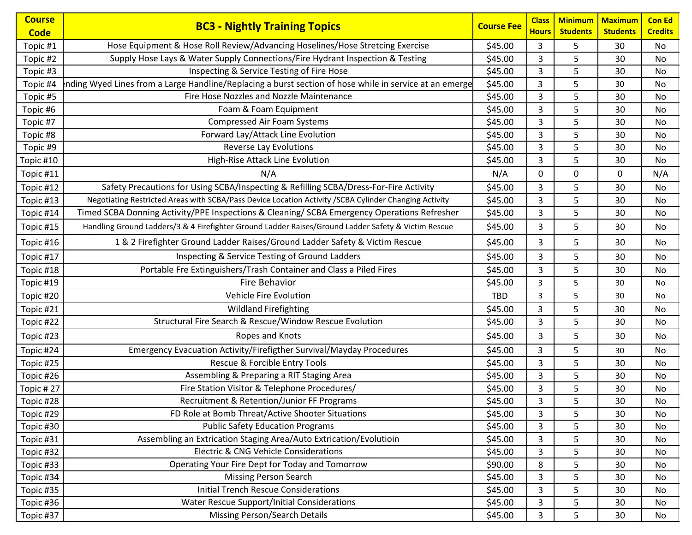| <b>Course</b> |                                                                                                        |                   | <b>Class</b> | <b>Minimum</b>  | <b>Maximum</b>  | <b>Con Ed</b>  |
|---------------|--------------------------------------------------------------------------------------------------------|-------------------|--------------|-----------------|-----------------|----------------|
| <b>Code</b>   | <b>BC3 - Nightly Training Topics</b>                                                                   | <b>Course Fee</b> | <b>Hours</b> | <b>Students</b> | <b>Students</b> | <b>Credits</b> |
| Topic #1      | Hose Equipment & Hose Roll Review/Advancing Hoselines/Hose Stretcing Exercise                          | \$45.00           | 3            | 5               | 30              | No             |
| Topic #2      | Supply Hose Lays & Water Supply Connections/Fire Hydrant Inspection & Testing                          | \$45.00           | 3            | 5               | 30              | No             |
| Topic #3      | Inspecting & Service Testing of Fire Hose                                                              | \$45.00           | 3            | 5               | 30              | No             |
| Topic #4      | nding Wyed Lines from a Large Handline/Replacing a burst section of hose while in service at an emerge | \$45.00           | 3            | 5               | 30              | No             |
| Topic #5      | Fire Hose Nozzles and Nozzle Maintenance                                                               | \$45.00           | 3            | 5               | 30              | No             |
| Topic #6      | Foam & Foam Equipment                                                                                  | \$45.00           | 3            | 5               | 30              | No             |
| Topic #7      | Compressed Air Foam Systems                                                                            | \$45.00           | 3            | 5               | 30              | No             |
| Topic #8      | Forward Lay/Attack Line Evolution                                                                      | \$45.00           | 3            | 5               | 30              | No             |
| Topic #9      | <b>Reverse Lay Evolutions</b>                                                                          | \$45.00           | 3            | 5               | 30              | No             |
| Topic #10     | High-Rise Attack Line Evolution                                                                        | \$45.00           | 3            | 5               | 30              | No             |
| Topic #11     | N/A                                                                                                    | N/A               | 0            | 0               | 0               | N/A            |
| Topic #12     | Safety Precautions for Using SCBA/Inspecting & Refilling SCBA/Dress-For-Fire Activity                  | \$45.00           | 3            | 5               | 30              | No             |
| Topic #13     | Negotiating Restricted Areas with SCBA/Pass Device Location Activity /SCBA Cylinder Changing Activity  | \$45.00           | 3            | 5               | 30              | No             |
| Topic #14     | Timed SCBA Donning Activity/PPE Inspections & Cleaning/ SCBA Emergency Operations Refresher            | \$45.00           | 3            | 5               | 30              | No             |
| Topic #15     | Handling Ground Ladders/3 & 4 Firefighter Ground Ladder Raises/Ground Ladder Safety & Victim Rescue    | \$45.00           | 3            | 5               | 30              | No             |
| Topic #16     | 1 & 2 Firefighter Ground Ladder Raises/Ground Ladder Safety & Victim Rescue                            | \$45.00           | 3            | 5               | 30              | No             |
| Topic #17     | Inspecting & Service Testing of Ground Ladders                                                         | \$45.00           | 3            | 5               | 30              | No             |
| Topic #18     | Portable Fre Extinguishers/Trash Container and Class a Piled Fires                                     | \$45.00           | 3            | 5               | 30              | No             |
| Topic #19     | Fire Behavior                                                                                          | \$45.00           | 3            | 5               | 30              | No             |
| Topic #20     | Vehicle Fire Evolution                                                                                 | <b>TBD</b>        | 3            | 5               | 30              | No             |
| Topic #21     | <b>Wildland Firefighting</b>                                                                           | \$45.00           | 3            | 5               | 30              | No             |
| Topic #22     | Structural Fire Search & Rescue/Window Rescue Evolution                                                | \$45.00           | 3            | 5               | 30              | No             |
| Topic #23     | Ropes and Knots                                                                                        | \$45.00           | 3            | 5               | 30              | No             |
| Topic #24     | Emergency Evacuation Activity/Firefigther Survival/Mayday Procedures                                   | \$45.00           | 3            | 5               | 30              | No             |
| Topic #25     | Rescue & Forcible Entry Tools                                                                          | \$45.00           | 3            | 5               | 30              | No             |
| Topic #26     | Assembling & Preparing a RIT Staging Area                                                              | \$45.00           | 3            | 5               | 30              | No             |
| Topic #27     | Fire Station Visitor & Telephone Procedures/                                                           | \$45.00           | 3            | 5               | 30              | No             |
| Topic #28     | Recruitment & Retention/Junior FF Programs                                                             | \$45.00           | 3            | 5               | $30\,$          | No             |
| Topic #29     | FD Role at Bomb Threat/Active Shooter Situations                                                       | \$45.00           | 3            | 5               | 30              | No             |
| Topic #30     | <b>Public Safety Education Programs</b>                                                                | \$45.00           | 3            | 5               | 30              | No             |
| Topic #31     | Assembling an Extrication Staging Area/Auto Extrication/Evolutioin                                     | \$45.00           | 3            | 5               | 30              | No             |
| Topic #32     | <b>Electric &amp; CNG Vehicle Considerations</b>                                                       | \$45.00           | 3            | 5               | 30              | No             |
| Topic #33     | Operating Your Fire Dept for Today and Tomorrow                                                        | \$90.00           | 8            | 5               | 30              | No             |
| Topic #34     | <b>Missing Person Search</b>                                                                           | \$45.00           | 3            | 5               | 30              | No             |
| Topic #35     | <b>Initial Trench Rescue Considerations</b>                                                            | \$45.00           | 3            | 5               | 30              | No             |
| Topic #36     | Water Rescue Support/Initial Considerations                                                            | \$45.00           | 3            | 5               | 30              | No             |
| Topic #37     | <b>Missing Person/Search Details</b>                                                                   | \$45.00           | 3            | 5               | 30              | No             |